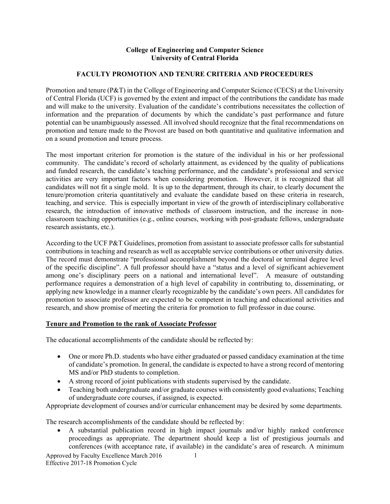## **College of Engineering and Computer Science University of Central Florida**

## **FACULTY PROMOTION AND TENURE CRITERIA AND PROCEEDURES**

Promotion and tenure (P&T) in the College of Engineering and Computer Science (CECS) at the University of Central Florida (UCF) is governed by the extent and impact of the contributions the candidate has made and will make to the university. Evaluation of the candidate's contributions necessitates the collection of information and the preparation of documents by which the candidate's past performance and future potential can be unambiguously assessed. All involved should recognize that the final recommendations on promotion and tenure made to the Provost are based on both quantitative and qualitative information and on a sound promotion and tenure process.

The most important criterion for promotion is the stature of the individual in his or her professional community. The candidate's record of scholarly attainment, as evidenced by the quality of publications and funded research, the candidate's teaching performance, and the candidate's professional and service activities are very important factors when considering promotion. However, it is recognized that all candidates will not fit a single mold. It is up to the department, through its chair, to clearly document the tenure/promotion criteria quantitatively and evaluate the candidate based on these criteria in research, teaching, and service. This is especially important in view of the growth of interdisciplinary collaborative research, the introduction of innovative methods of classroom instruction, and the increase in nonclassroom teaching opportunities (e.g., online courses, working with post-graduate fellows, undergraduate research assistants, etc.).

According to the UCF P&T Guidelines, promotion from assistant to associate professor calls for substantial contributions in teaching and research as well as acceptable service contributions or other university duties. The record must demonstrate "professional accomplishment beyond the doctoral or terminal degree level of the specific discipline". A full professor should have a "status and a level of significant achievement among one's disciplinary peers on a national and international level". A measure of outstanding performance requires a demonstration of a high level of capability in contributing to, disseminating, or applying new knowledge in a manner clearly recognizable by the candidate's own peers. All candidates for promotion to associate professor are expected to be competent in teaching and educational activities and research, and show promise of meeting the criteria for promotion to full professor in due course.

## **Tenure and Promotion to the rank of Associate Professor**

The educational accomplishments of the candidate should be reflected by:

- One or more Ph.D. students who have either graduated or passed candidacy examination at the time of candidate's promotion. In general, the candidate is expected to have a strong record of mentoring MS and/or PhD students to completion.
- A strong record of joint publications with students supervised by the candidate.
- Teaching both undergraduate and/or graduate courses with consistently good evaluations; Teaching of undergraduate core courses, if assigned, is expected.

Appropriate development of courses and/or curricular enhancement may be desired by some departments.

The research accomplishments of the candidate should be reflected by:

 A substantial publication record in high impact journals and/or highly ranked conference proceedings as appropriate. The department should keep a list of prestigious journals and conferences (with acceptance rate, if available) in the candidate's area of research. A minimum

Approved by Faculty Excellence March 2016 Effective 2017-18 Promotion Cycle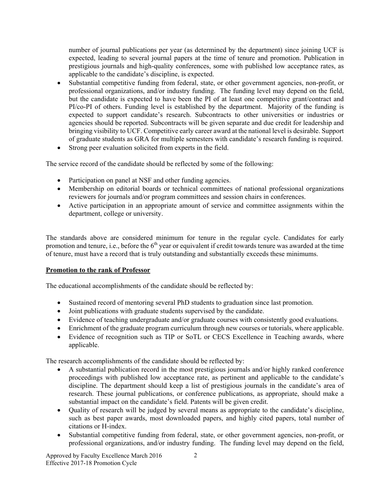number of journal publications per year (as determined by the department) since joining UCF is expected, leading to several journal papers at the time of tenure and promotion. Publication in prestigious journals and high-quality conferences, some with published low acceptance rates, as applicable to the candidate's discipline, is expected.

- Substantial competitive funding from federal, state, or other government agencies, non-profit, or professional organizations, and/or industry funding. The funding level may depend on the field, but the candidate is expected to have been the PI of at least one competitive grant/contract and PI/co-PI of others. Funding level is established by the department. Majority of the funding is expected to support candidate's research. Subcontracts to other universities or industries or agencies should be reported. Subcontracts will be given separate and due credit for leadership and bringing visibility to UCF. Competitive early career award at the national level is desirable. Support of graduate students as GRA for multiple semesters with candidate's research funding is required.
- Strong peer evaluation solicited from experts in the field.

The service record of the candidate should be reflected by some of the following:

- Participation on panel at NSF and other funding agencies.
- Membership on editorial boards or technical committees of national professional organizations reviewers for journals and/or program committees and session chairs in conferences.
- Active participation in an appropriate amount of service and committee assignments within the department, college or university.

The standards above are considered minimum for tenure in the regular cycle. Candidates for early promotion and tenure, i.e., before the 6<sup>th</sup> year or equivalent if credit towards tenure was awarded at the time of tenure, must have a record that is truly outstanding and substantially exceeds these minimums.

## **Promotion to the rank of Professor**

The educational accomplishments of the candidate should be reflected by:

- Sustained record of mentoring several PhD students to graduation since last promotion.
- Joint publications with graduate students supervised by the candidate.
- Evidence of teaching undergraduate and/or graduate courses with consistently good evaluations.
- Enrichment of the graduate program curriculum through new courses or tutorials, where applicable.
- Evidence of recognition such as TIP or SoTL or CECS Excellence in Teaching awards, where applicable.

The research accomplishments of the candidate should be reflected by:

- A substantial publication record in the most prestigious journals and/or highly ranked conference proceedings with published low acceptance rate, as pertinent and applicable to the candidate's discipline. The department should keep a list of prestigious journals in the candidate's area of research. These journal publications, or conference publications, as appropriate, should make a substantial impact on the candidate's field. Patents will be given credit.
- Quality of research will be judged by several means as appropriate to the candidate's discipline, such as best paper awards, most downloaded papers, and highly cited papers, total number of citations or H-index.
- Substantial competitive funding from federal, state, or other government agencies, non-profit, or professional organizations, and/or industry funding. The funding level may depend on the field,